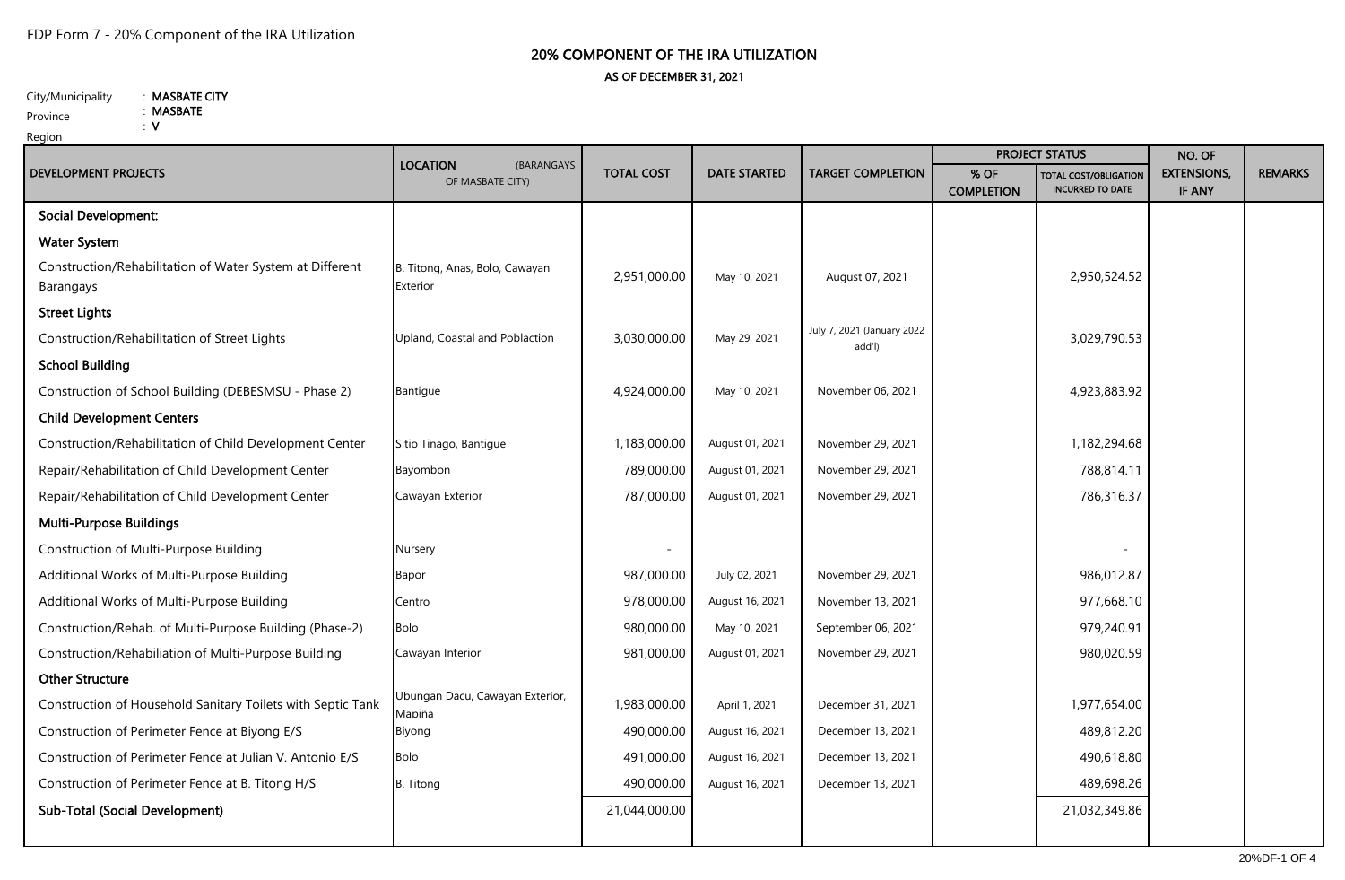## 20% COMPONENT OF THE IRA UTILIZATION AS OF DECEMBER 31, 2021

City/Municipality : MASBATE CITY : MASBATE

: V

Province

Region

| <b>DEVELOPMENT PROJECTS</b>                                           | <b>LOCATION</b><br>(BARANGAYS<br>OF MASBATE CITY) | <b>TOTAL COST</b> | <b>DATE STARTED</b> | <b>TARGET COMPLETION</b>             | <b>PROJECT STATUS</b>     |                                                  | NO. OF                              |                |
|-----------------------------------------------------------------------|---------------------------------------------------|-------------------|---------------------|--------------------------------------|---------------------------|--------------------------------------------------|-------------------------------------|----------------|
|                                                                       |                                                   |                   |                     |                                      | % OF<br><b>COMPLETION</b> | TOTAL COST/OBLIGATION<br><b>INCURRED TO DATE</b> | <b>EXTENSIONS,</b><br><b>IF ANY</b> | <b>REMARKS</b> |
| <b>Social Development:</b>                                            |                                                   |                   |                     |                                      |                           |                                                  |                                     |                |
| <b>Water System</b>                                                   |                                                   |                   |                     |                                      |                           |                                                  |                                     |                |
| Construction/Rehabilitation of Water System at Different<br>Barangays | B. Titong, Anas, Bolo, Cawayan<br>Exterior        | 2,951,000.00      | May 10, 2021        | August 07, 2021                      |                           | 2,950,524.52                                     |                                     |                |
| <b>Street Lights</b>                                                  |                                                   |                   |                     |                                      |                           |                                                  |                                     |                |
| Construction/Rehabilitation of Street Lights                          | Upland, Coastal and Poblaction                    | 3,030,000.00      | May 29, 2021        | July 7, 2021 (January 2022<br>add'l) |                           | 3,029,790.53                                     |                                     |                |
| <b>School Building</b>                                                |                                                   |                   |                     |                                      |                           |                                                  |                                     |                |
| Construction of School Building (DEBESMSU - Phase 2)                  | Bantigue                                          | 4,924,000.00      | May 10, 2021        | November 06, 2021                    |                           | 4,923,883.92                                     |                                     |                |
| <b>Child Development Centers</b>                                      |                                                   |                   |                     |                                      |                           |                                                  |                                     |                |
| Construction/Rehabilitation of Child Development Center               | Sitio Tinago, Bantigue                            | 1,183,000.00      | August 01, 2021     | November 29, 2021                    |                           | 1,182,294.68                                     |                                     |                |
| Repair/Rehabilitation of Child Development Center                     | Bayombon                                          | 789,000.00        | August 01, 2021     | November 29, 2021                    |                           | 788,814.11                                       |                                     |                |
| Repair/Rehabilitation of Child Development Center                     | Cawayan Exterior                                  | 787,000.00        | August 01, 2021     | November 29, 2021                    |                           | 786,316.37                                       |                                     |                |
| <b>Multi-Purpose Buildings</b>                                        |                                                   |                   |                     |                                      |                           |                                                  |                                     |                |
| Construction of Multi-Purpose Building                                | Nursery                                           |                   |                     |                                      |                           |                                                  |                                     |                |
| Additional Works of Multi-Purpose Building                            | <b>Bapor</b>                                      | 987,000.00        | July 02, 2021       | November 29, 2021                    |                           | 986,012.87                                       |                                     |                |
| Additional Works of Multi-Purpose Building                            | Centro                                            | 978,000.00        | August 16, 2021     | November 13, 2021                    |                           | 977,668.10                                       |                                     |                |
| Construction/Rehab. of Multi-Purpose Building (Phase-2)               | <b>Bolo</b>                                       | 980,000.00        | May 10, 2021        | September 06, 2021                   |                           | 979,240.91                                       |                                     |                |
| Construction/Rehabiliation of Multi-Purpose Building                  | Cawayan Interior                                  | 981,000.00        | August 01, 2021     | November 29, 2021                    |                           | 980,020.59                                       |                                     |                |
| <b>Other Structure</b>                                                |                                                   |                   |                     |                                      |                           |                                                  |                                     |                |
| Construction of Household Sanitary Toilets with Septic Tank           | Ubungan Dacu, Cawayan Exterior,<br>Maniña         | 1,983,000.00      | April 1, 2021       | December 31, 2021                    |                           | 1,977,654.00                                     |                                     |                |
| Construction of Perimeter Fence at Biyong E/S                         | Biyong                                            | 490,000.00        | August 16, 2021     | December 13, 2021                    |                           | 489,812.20                                       |                                     |                |
| Construction of Perimeter Fence at Julian V. Antonio E/S              | <b>Bolo</b>                                       | 491,000.00        | August 16, 2021     | December 13, 2021                    |                           | 490,618.80                                       |                                     |                |
| Construction of Perimeter Fence at B. Titong H/S                      | <b>B.</b> Titong                                  | 490,000.00        | August 16, 2021     | December 13, 2021                    |                           | 489,698.26                                       |                                     |                |
| <b>Sub-Total (Social Development)</b>                                 |                                                   | 21,044,000.00     |                     |                                      |                           | 21,032,349.86                                    |                                     |                |
|                                                                       |                                                   |                   |                     |                                      |                           |                                                  |                                     |                |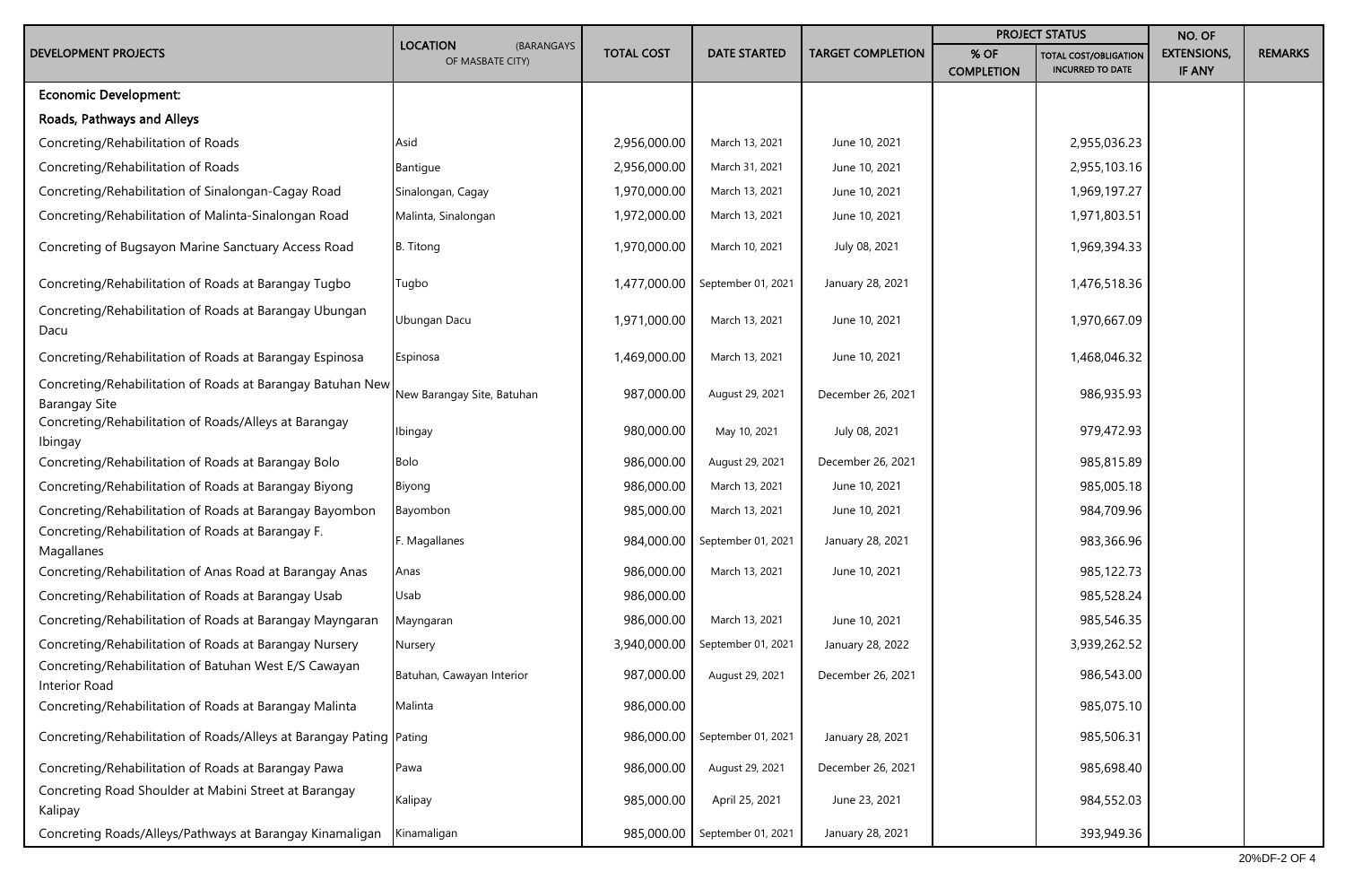|                                                                                    | <b>LOCATION</b><br>(BARANGAYS<br>OF MASBATE CITY) | <b>TOTAL COST</b> | <b>DATE STARTED</b>             | <b>TARGET COMPLETION</b> | <b>PROJECT STATUS</b>     |                                                         | NO. OF                       |                |
|------------------------------------------------------------------------------------|---------------------------------------------------|-------------------|---------------------------------|--------------------------|---------------------------|---------------------------------------------------------|------------------------------|----------------|
| <b>DEVELOPMENT PROJECTS</b>                                                        |                                                   |                   |                                 |                          | % OF<br><b>COMPLETION</b> | <b>TOTAL COST/OBLIGATION</b><br><b>INCURRED TO DATE</b> | <b>EXTENSIONS,</b><br>IF ANY | <b>REMARKS</b> |
| <b>Economic Development:</b>                                                       |                                                   |                   |                                 |                          |                           |                                                         |                              |                |
| Roads, Pathways and Alleys                                                         |                                                   |                   |                                 |                          |                           |                                                         |                              |                |
| Concreting/Rehabilitation of Roads                                                 | Asid                                              | 2,956,000.00      | March 13, 2021                  | June 10, 2021            |                           | 2,955,036.23                                            |                              |                |
| Concreting/Rehabilitation of Roads                                                 | Bantigue                                          | 2,956,000.00      | March 31, 2021                  | June 10, 2021            |                           | 2,955,103.16                                            |                              |                |
| Concreting/Rehabilitation of Sinalongan-Cagay Road                                 | Sinalongan, Cagay                                 | 1,970,000.00      | March 13, 2021                  | June 10, 2021            |                           | 1,969,197.27                                            |                              |                |
| Concreting/Rehabilitation of Malinta-Sinalongan Road                               | Malinta, Sinalongan                               | 1,972,000.00      | March 13, 2021                  | June 10, 2021            |                           | 1,971,803.51                                            |                              |                |
| Concreting of Bugsayon Marine Sanctuary Access Road                                | <b>B.</b> Titong                                  | 1,970,000.00      | March 10, 2021                  | July 08, 2021            |                           | 1,969,394.33                                            |                              |                |
| Concreting/Rehabilitation of Roads at Barangay Tugbo                               | Tugbo                                             |                   | 1,477,000.00 September 01, 2021 | January 28, 2021         |                           | 1,476,518.36                                            |                              |                |
| Concreting/Rehabilitation of Roads at Barangay Ubungan<br>Dacu                     | Ubungan Dacu                                      | 1,971,000.00      | March 13, 2021                  | June 10, 2021            |                           | 1,970,667.09                                            |                              |                |
| Concreting/Rehabilitation of Roads at Barangay Espinosa                            | Espinosa                                          | 1,469,000.00      | March 13, 2021                  | June 10, 2021            |                           | 1,468,046.32                                            |                              |                |
| Concreting/Rehabilitation of Roads at Barangay Batuhan New<br><b>Barangay Site</b> | New Barangay Site, Batuhan                        | 987,000.00        | August 29, 2021                 | December 26, 2021        |                           | 986,935.93                                              |                              |                |
| Concreting/Rehabilitation of Roads/Alleys at Barangay<br>Ibingay                   | Ibingay                                           | 980,000.00        | May 10, 2021                    | July 08, 2021            |                           | 979,472.93                                              |                              |                |
| Concreting/Rehabilitation of Roads at Barangay Bolo                                | Bolo                                              | 986,000.00        | August 29, 2021                 | December 26, 2021        |                           | 985,815.89                                              |                              |                |
| Concreting/Rehabilitation of Roads at Barangay Biyong                              | Biyong                                            | 986,000.00        | March 13, 2021                  | June 10, 2021            |                           | 985,005.18                                              |                              |                |
| Concreting/Rehabilitation of Roads at Barangay Bayombon                            | Bayombon                                          | 985,000.00        | March 13, 2021                  | June 10, 2021            |                           | 984,709.96                                              |                              |                |
| Concreting/Rehabilitation of Roads at Barangay F.<br>Magallanes                    | F. Magallanes                                     | 984,000.00        | September 01, 2021              | January 28, 2021         |                           | 983,366.96                                              |                              |                |
| Concreting/Rehabilitation of Anas Road at Barangay Anas                            | Anas                                              | 986,000.00        | March 13, 2021                  | June 10, 2021            |                           | 985,122.73                                              |                              |                |
| Concreting/Rehabilitation of Roads at Barangay Usab                                | Usab                                              | 986,000.00        |                                 |                          |                           | 985,528.24                                              |                              |                |
| Concreting/Rehabilitation of Roads at Barangay Mayngaran                           | Mayngaran                                         | 986,000.00        | March 13, 2021                  | June 10, 2021            |                           | 985,546.35                                              |                              |                |
| Concreting/Rehabilitation of Roads at Barangay Nursery                             | Nursery                                           | 3,940,000.00      | September 01, 2021              | January 28, 2022         |                           | 3,939,262.52                                            |                              |                |
| Concreting/Rehabilitation of Batuhan West E/S Cawayan<br>Interior Road             | Batuhan, Cawayan Interior                         | 987,000.00        | August 29, 2021                 | December 26, 2021        |                           | 986,543.00                                              |                              |                |
| Concreting/Rehabilitation of Roads at Barangay Malinta                             | Malinta                                           | 986,000.00        |                                 |                          |                           | 985,075.10                                              |                              |                |
| Concreting/Rehabilitation of Roads/Alleys at Barangay Pating Pating                |                                                   |                   | 986,000.00 September 01, 2021   | January 28, 2021         |                           | 985,506.31                                              |                              |                |
| Concreting/Rehabilitation of Roads at Barangay Pawa                                | Pawa                                              | 986,000.00        | August 29, 2021                 | December 26, 2021        |                           | 985,698.40                                              |                              |                |
| Concreting Road Shoulder at Mabini Street at Barangay<br>Kalipay                   | Kalipay                                           | 985,000.00        | April 25, 2021                  | June 23, 2021            |                           | 984,552.03                                              |                              |                |
| Concreting Roads/Alleys/Pathways at Barangay Kinamaligan                           | Kinamaligan                                       |                   | 985,000.00 September 01, 2021   | January 28, 2021         |                           | 393,949.36                                              |                              |                |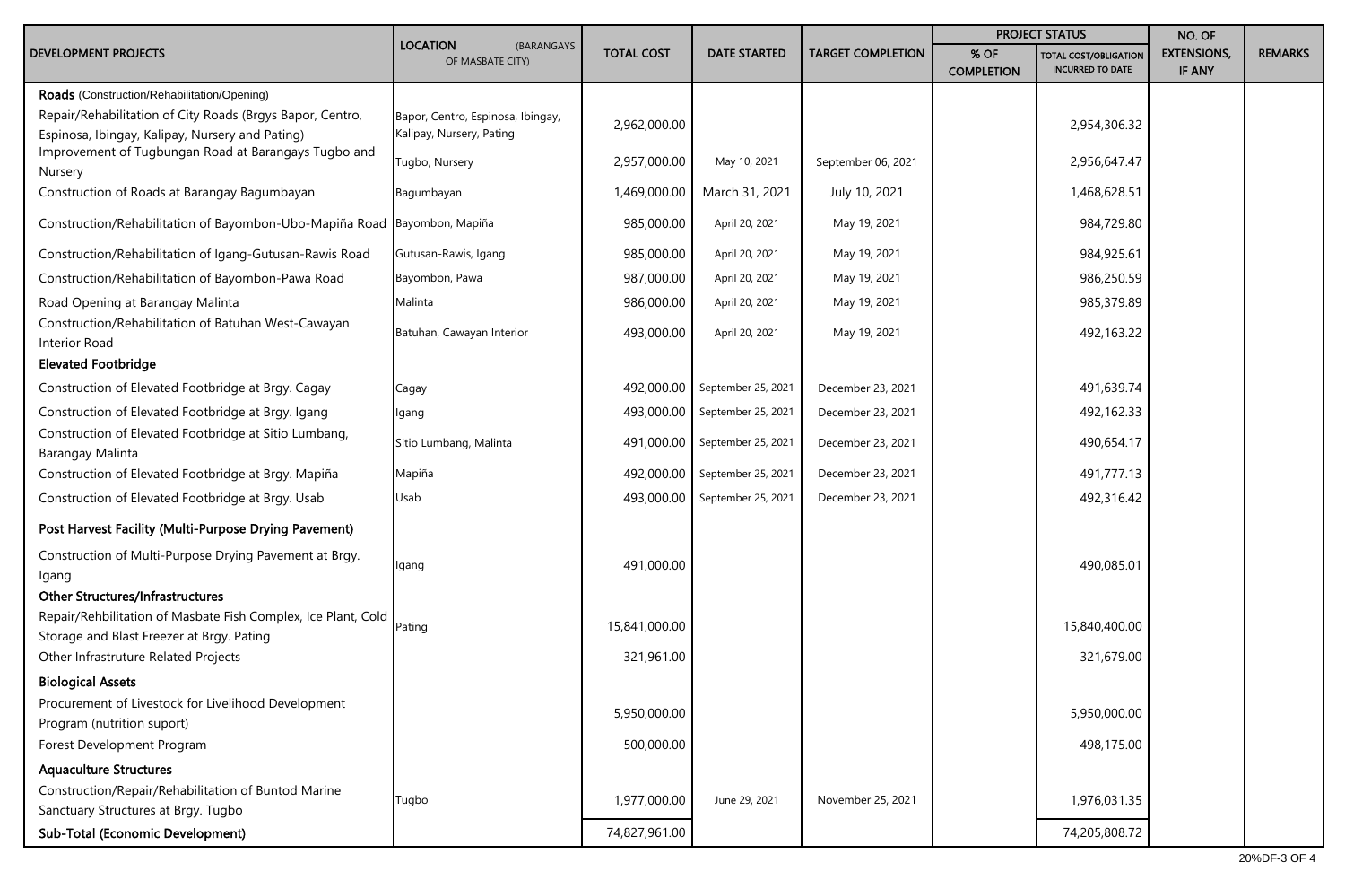| <b>DEVELOPMENT PROJECTS</b>                                                                                                                                 | <b>LOCATION</b><br>(BARANGAYS<br>OF MASBATE CITY)             | <b>TOTAL COST</b> | <b>DATE STARTED</b> | <b>TARGET COMPLETION</b> | <b>PROJECT STATUS</b>     |                                                         | NO. OF                       |                |
|-------------------------------------------------------------------------------------------------------------------------------------------------------------|---------------------------------------------------------------|-------------------|---------------------|--------------------------|---------------------------|---------------------------------------------------------|------------------------------|----------------|
|                                                                                                                                                             |                                                               |                   |                     |                          | % OF<br><b>COMPLETION</b> | <b>TOTAL COST/OBLIGATION</b><br><b>INCURRED TO DATE</b> | <b>EXTENSIONS,</b><br>IF ANY | <b>REMARKS</b> |
| Roads (Construction/Rehabilitation/Opening)<br>Repair/Rehabilitation of City Roads (Brgys Bapor, Centro,<br>Espinosa, Ibingay, Kalipay, Nursery and Pating) | Bapor, Centro, Espinosa, Ibingay,<br>Kalipay, Nursery, Pating | 2,962,000.00      |                     |                          |                           | 2,954,306.32                                            |                              |                |
| Improvement of Tugbungan Road at Barangays Tugbo and<br>Nursery                                                                                             | Tugbo, Nursery                                                | 2,957,000.00      | May 10, 2021        | September 06, 2021       |                           | 2,956,647.47                                            |                              |                |
| Construction of Roads at Barangay Bagumbayan                                                                                                                | Bagumbayan                                                    | 1,469,000.00      | March 31, 2021      | July 10, 2021            |                           | 1,468,628.51                                            |                              |                |
| Construction/Rehabilitation of Bayombon-Ubo-Mapiña Road Bayombon, Mapiña                                                                                    |                                                               | 985,000.00        | April 20, 2021      | May 19, 2021             |                           | 984,729.80                                              |                              |                |
| Construction/Rehabilitation of Igang-Gutusan-Rawis Road                                                                                                     | Gutusan-Rawis, Igang                                          | 985,000.00        | April 20, 2021      | May 19, 2021             |                           | 984,925.61                                              |                              |                |
| Construction/Rehabilitation of Bayombon-Pawa Road                                                                                                           | Bayombon, Pawa                                                | 987,000.00        | April 20, 2021      | May 19, 2021             |                           | 986,250.59                                              |                              |                |
| Road Opening at Barangay Malinta                                                                                                                            | Malinta                                                       | 986,000.00        | April 20, 2021      | May 19, 2021             |                           | 985,379.89                                              |                              |                |
| Construction/Rehabilitation of Batuhan West-Cawayan<br>Interior Road                                                                                        | Batuhan, Cawayan Interior                                     | 493,000.00        | April 20, 2021      | May 19, 2021             |                           | 492,163.22                                              |                              |                |
| <b>Elevated Footbridge</b>                                                                                                                                  |                                                               |                   |                     |                          |                           |                                                         |                              |                |
| Construction of Elevated Footbridge at Brgy. Cagay                                                                                                          | Cagay                                                         | 492,000.00        | September 25, 2021  | December 23, 2021        |                           | 491,639.74                                              |                              |                |
| Construction of Elevated Footbridge at Brgy. Igang                                                                                                          | Igang                                                         | 493,000.00        | September 25, 2021  | December 23, 2021        |                           | 492,162.33                                              |                              |                |
| Construction of Elevated Footbridge at Sitio Lumbang,<br>Barangay Malinta                                                                                   | Sitio Lumbang, Malinta                                        | 491,000.00        | September 25, 2021  | December 23, 2021        |                           | 490,654.17                                              |                              |                |
| Construction of Elevated Footbridge at Brgy. Mapiña                                                                                                         | Mapiña                                                        | 492,000.00        | September 25, 2021  | December 23, 2021        |                           | 491,777.13                                              |                              |                |
| Construction of Elevated Footbridge at Brgy. Usab                                                                                                           | Usab                                                          | 493,000.00        | September 25, 2021  | December 23, 2021        |                           | 492,316.42                                              |                              |                |
| Post Harvest Facility (Multi-Purpose Drying Pavement)                                                                                                       |                                                               |                   |                     |                          |                           |                                                         |                              |                |
| Construction of Multi-Purpose Drying Pavement at Brgy.<br>lgang<br><b>Other Structures/Infrastructures</b>                                                  | Igang                                                         | 491,000.00        |                     |                          |                           | 490,085.01                                              |                              |                |
| Repair/Rehbilitation of Masbate Fish Complex, Ice Plant, Cold<br>Storage and Blast Freezer at Brgy. Pating                                                  | Pating                                                        | 15,841,000.00     |                     |                          |                           | 15,840,400.00                                           |                              |                |
| Other Infrastruture Related Projects                                                                                                                        |                                                               | 321,961.00        |                     |                          |                           | 321,679.00                                              |                              |                |
| <b>Biological Assets</b>                                                                                                                                    |                                                               |                   |                     |                          |                           |                                                         |                              |                |
| Procurement of Livestock for Livelihood Development<br>Program (nutrition suport)                                                                           |                                                               | 5,950,000.00      |                     |                          |                           | 5,950,000.00                                            |                              |                |
| Forest Development Program                                                                                                                                  |                                                               | 500,000.00        |                     |                          |                           | 498,175.00                                              |                              |                |
| <b>Aquaculture Structures</b>                                                                                                                               |                                                               |                   |                     |                          |                           |                                                         |                              |                |
| Construction/Repair/Rehabilitation of Buntod Marine<br>Sanctuary Structures at Brgy. Tugbo                                                                  | Tugbo                                                         | 1,977,000.00      | June 29, 2021       | November 25, 2021        |                           | 1,976,031.35                                            |                              |                |
| Sub-Total (Economic Development)                                                                                                                            |                                                               | 74,827,961.00     |                     |                          |                           | 74,205,808.72                                           |                              |                |